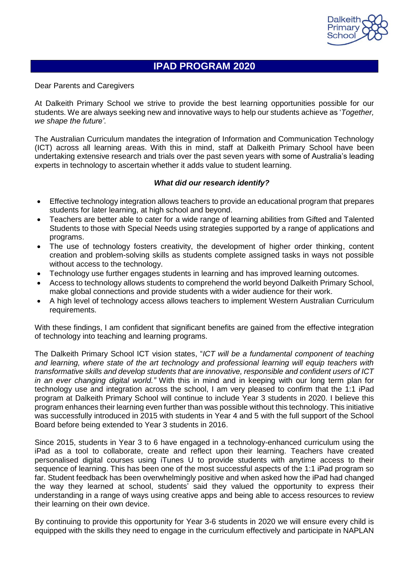

# **IPAD PROGRAM 2020**

Dear Parents and Caregivers

At Dalkeith Primary School we strive to provide the best learning opportunities possible for our students. We are always seeking new and innovative ways to help our students achieve as '*Together, we shape the future'*.

The Australian Curriculum mandates the integration of Information and Communication Technology (ICT) across all learning areas. With this in mind, staff at Dalkeith Primary School have been undertaking extensive research and trials over the past seven years with some of Australia's leading experts in technology to ascertain whether it adds value to student learning.

# *What did our research identify?*

- Effective technology integration allows teachers to provide an educational program that prepares students for later learning, at high school and beyond.
- Teachers are better able to cater for a wide range of learning abilities from Gifted and Talented Students to those with Special Needs using strategies supported by a range of applications and programs.
- The use of technology fosters creativity, the development of higher order thinking, content creation and problem-solving skills as students complete assigned tasks in ways not possible without access to the technology.
- Technology use further engages students in learning and has improved learning outcomes.
- Access to technology allows students to comprehend the world beyond Dalkeith Primary School, make global connections and provide students with a wider audience for their work.
- A high level of technology access allows teachers to implement Western Australian Curriculum requirements.

With these findings, I am confident that significant benefits are gained from the effective integration of technology into teaching and learning programs.

The Dalkeith Primary School ICT vision states, "*ICT will be a fundamental component of teaching and learning, where state of the art technology and professional learning will equip teachers with transformative skills and develop students that are innovative, responsible and confident users of ICT in an ever changing digital world."* With this in mind and in keeping with our long term plan for technology use and integration across the school, I am very pleased to confirm that the 1:1 iPad program at Dalkeith Primary School will continue to include Year 3 students in 2020. I believe this program enhances their learning even further than was possible without this technology. This initiative was successfully introduced in 2015 with students in Year 4 and 5 with the full support of the School Board before being extended to Year 3 students in 2016.

Since 2015, students in Year 3 to 6 have engaged in a technology-enhanced curriculum using the iPad as a tool to collaborate, create and reflect upon their learning. Teachers have created personalised digital courses using iTunes U to provide students with anytime access to their sequence of learning. This has been one of the most successful aspects of the 1:1 iPad program so far. Student feedback has been overwhelmingly positive and when asked how the iPad had changed the way they learned at school, students' said they valued the opportunity to express their understanding in a range of ways using creative apps and being able to access resources to review their learning on their own device.

By continuing to provide this opportunity for Year 3-6 students in 2020 we will ensure every child is equipped with the skills they need to engage in the curriculum effectively and participate in NAPLAN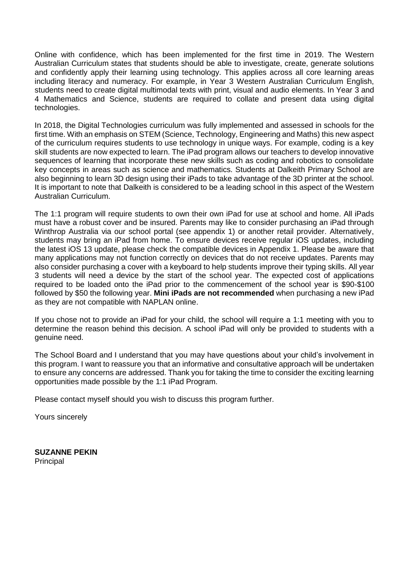Online with confidence, which has been implemented for the first time in 2019. The Western Australian Curriculum states that students should be able to investigate, create, generate solutions and confidently apply their learning using technology. This applies across all core learning areas including literacy and numeracy. For example, in Year 3 Western Australian Curriculum English, students need to create digital multimodal texts with print, visual and audio elements. In Year 3 and 4 Mathematics and Science, students are required to collate and present data using digital technologies.

In 2018, the Digital Technologies curriculum was fully implemented and assessed in schools for the first time. With an emphasis on STEM (Science, Technology, Engineering and Maths) this new aspect of the curriculum requires students to use technology in unique ways. For example, coding is a key skill students are now expected to learn. The iPad program allows our teachers to develop innovative sequences of learning that incorporate these new skills such as coding and robotics to consolidate key concepts in areas such as science and mathematics. Students at Dalkeith Primary School are also beginning to learn 3D design using their iPads to take advantage of the 3D printer at the school. It is important to note that Dalkeith is considered to be a leading school in this aspect of the Western Australian Curriculum.

The 1:1 program will require students to own their own iPad for use at school and home. All iPads must have a robust cover and be insured. Parents may like to consider purchasing an iPad through Winthrop Australia via our school portal (see appendix 1) or another retail provider. Alternatively, students may bring an iPad from home. To ensure devices receive regular iOS updates, including the latest iOS 13 update, please check the compatible devices in Appendix 1. Please be aware that many applications may not function correctly on devices that do not receive updates. Parents may also consider purchasing a cover with a keyboard to help students improve their typing skills. All year 3 students will need a device by the start of the school year. The expected cost of applications required to be loaded onto the iPad prior to the commencement of the school year is \$90-\$100 followed by \$50 the following year. **Mini iPads are not recommended** when purchasing a new iPad as they are not compatible with NAPLAN online.

If you chose not to provide an iPad for your child, the school will require a 1:1 meeting with you to determine the reason behind this decision. A school iPad will only be provided to students with a genuine need.

The School Board and I understand that you may have questions about your child's involvement in this program. I want to reassure you that an informative and consultative approach will be undertaken to ensure any concerns are addressed. Thank you for taking the time to consider the exciting learning opportunities made possible by the 1:1 iPad Program.

Please contact myself should you wish to discuss this program further.

Yours sincerely

**SUZANNE PEKIN Principal**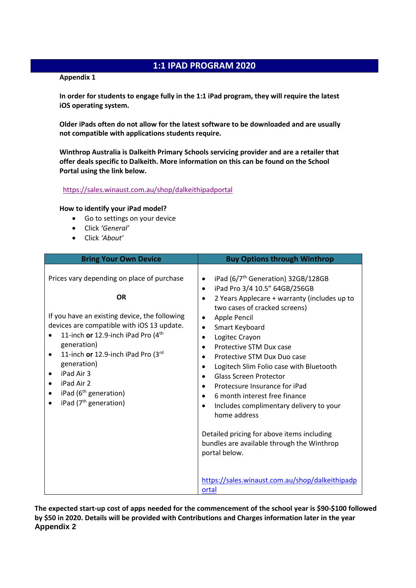# **1:1 IPAD PROGRAM 2020**

#### **Appendix 1**

**In order for students to engage fully in the 1:1 iPad program, they will require the latest iOS operating system.**

**Older iPads often do not allow for the latest software to be downloaded and are usually not compatible with applications students require.** 

**Winthrop Australia is Dalkeith Primary Schools servicing provider and are a retailer that offer deals specific to Dalkeith. More information on this can be found on the School Portal using the link below.**

#### <https://sales.winaust.com.au/shop/dalkeithipadportal>

#### **How to identify your iPad model?**

- Go to settings on your device
- Click *'General'*
- Click *'About'*

| <b>Bring Your Own Device</b>                                                                                                                                                                                                                                                                                                                                                                                 | <b>Buy Options through Winthrop</b>                                                                                                                                                                                                                                                                                                                                                                                                                                                                                                                                                                                                                                                             |
|--------------------------------------------------------------------------------------------------------------------------------------------------------------------------------------------------------------------------------------------------------------------------------------------------------------------------------------------------------------------------------------------------------------|-------------------------------------------------------------------------------------------------------------------------------------------------------------------------------------------------------------------------------------------------------------------------------------------------------------------------------------------------------------------------------------------------------------------------------------------------------------------------------------------------------------------------------------------------------------------------------------------------------------------------------------------------------------------------------------------------|
| Prices vary depending on place of purchase<br><b>OR</b><br>If you have an existing device, the following<br>devices are compatible with iOS 13 update.<br>11-inch or 12.9-inch iPad Pro (4 <sup>th</sup><br>generation)<br>11-inch or 12.9-inch iPad Pro (3rd<br>$\bullet$<br>generation)<br>iPad Air 3<br>$\bullet$<br>iPad Air 2<br>iPad (6 <sup>th</sup> generation)<br>iPad (7 <sup>th</sup> generation) | iPad (6/7 <sup>th</sup> Generation) 32GB/128GB<br>$\bullet$<br>iPad Pro 3/4 10.5" 64GB/256GB<br>2 Years Applecare + warranty (includes up to<br>two cases of cracked screens)<br>Apple Pencil<br>$\bullet$<br>Smart Keyboard<br>$\bullet$<br>Logitec Crayon<br>$\bullet$<br>Protective STM Dux case<br>$\bullet$<br>Protective STM Dux Duo case<br>Logitech Slim Folio case with Bluetooth<br><b>Glass Screen Protector</b><br>Protecsure Insurance for iPad<br>6 month interest free finance<br>$\bullet$<br>Includes complimentary delivery to your<br>$\bullet$<br>home address<br>Detailed pricing for above items including<br>bundles are available through the Winthrop<br>portal below. |
|                                                                                                                                                                                                                                                                                                                                                                                                              | https://sales.winaust.com.au/shop/dalkeithipadp<br>ortal                                                                                                                                                                                                                                                                                                                                                                                                                                                                                                                                                                                                                                        |

**The expected start-up cost of apps needed for the commencement of the school year is \$90-\$100 followed by \$50 in 2020. Details will be provided with Contributions and Charges information later in the year Appendix 2**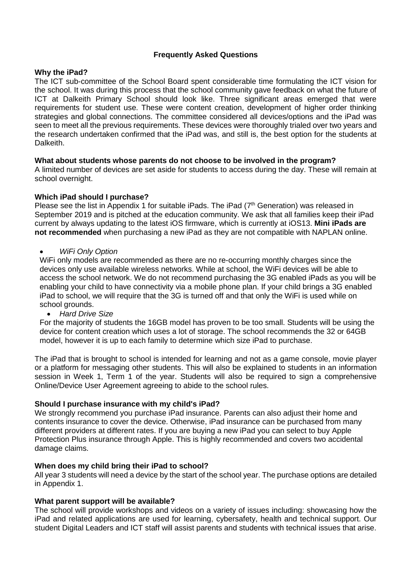# **Frequently Asked Questions**

## **Why the iPad?**

The ICT sub-committee of the School Board spent considerable time formulating the ICT vision for the school. It was during this process that the school community gave feedback on what the future of ICT at Dalkeith Primary School should look like. Three significant areas emerged that were requirements for student use. These were content creation, development of higher order thinking strategies and global connections. The committee considered all devices/options and the iPad was seen to meet all the previous requirements. These devices were thoroughly trialed over two years and the research undertaken confirmed that the iPad was, and still is, the best option for the students at Dalkeith.

# **What about students whose parents do not choose to be involved in the program?**

A limited number of devices are set aside for students to access during the day. These will remain at school overnight.

## **Which iPad should I purchase?**

Please see the list in Appendix 1 for suitable iPads. The iPad (7<sup>th</sup> Generation) was released in September 2019 and is pitched at the education community. We ask that all families keep their iPad current by always updating to the latest iOS firmware, which is currently at iOS13. **Mini iPads are not recommended** when purchasing a new iPad as they are not compatible with NAPLAN online.

## *WiFi Only Option*

WiFi only models are recommended as there are no re-occurring monthly charges since the devices only use available wireless networks. While at school, the WiFi devices will be able to access the school network. We do not recommend purchasing the 3G enabled iPads as you will be enabling your child to have connectivity via a mobile phone plan. If your child brings a 3G enabled iPad to school, we will require that the 3G is turned off and that only the WiFi is used while on school grounds.

*Hard Drive Size*

For the majority of students the 16GB model has proven to be too small. Students will be using the device for content creation which uses a lot of storage. The school recommends the 32 or 64GB model, however it is up to each family to determine which size iPad to purchase.

The iPad that is brought to school is intended for learning and not as a game console, movie player or a platform for messaging other students. This will also be explained to students in an information session in Week 1, Term 1 of the year. Students will also be required to sign a comprehensive Online/Device User Agreement agreeing to abide to the school rules.

# **Should I purchase insurance with my child's iPad?**

We strongly recommend you purchase iPad insurance. Parents can also adjust their home and contents insurance to cover the device. Otherwise, iPad insurance can be purchased from many different providers at different rates. If you are buying a new iPad you can select to buy Apple Protection Plus insurance through Apple. This is highly recommended and covers two accidental damage claims.

#### **When does my child bring their iPad to school?**

All year 3 students will need a device by the start of the school year. The purchase options are detailed in Appendix 1.

#### **What parent support will be available?**

The school will provide workshops and videos on a variety of issues including: showcasing how the iPad and related applications are used for learning, cybersafety, health and technical support. Our student Digital Leaders and ICT staff will assist parents and students with technical issues that arise.